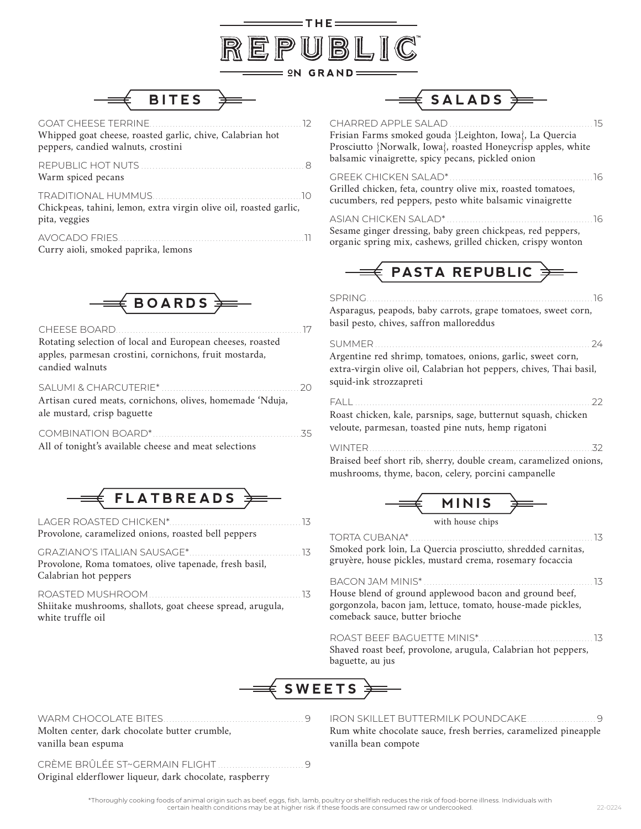



GOAT CHEESE TERRINE. . . 12 Whipped goat cheese, roasted garlic, chive, Calabrian hot peppers, candied walnuts, crostini

REPUBLIC HOT NUTS. . . 8 Warm spiced pecans TRADITIONAL HUMMUS. . 10

Chickpeas, tahini, lemon, extra virgin olive oil, roasted garlic, pita, veggies

AVOCADO FRIES. . 11 Curry aioli, smoked paprika, lemons



CHEESE BOARD. . . . . . . . . . . . . . . . . 17 Rotating selection of local and European cheeses, roasted apples, parmesan crostini, cornichons, fruit mostarda, candied walnuts

| Artisan cured meats, cornichons, olives, homemade 'Nduja, |  |
|-----------------------------------------------------------|--|
| ale mustard, crisp baguette                               |  |
|                                                           |  |

| All of tonight's available cheese and meat selections |  |
|-------------------------------------------------------|--|



| Provolone, caramelized onions, roasted bell peppers |  |
|-----------------------------------------------------|--|

GRAZIANO'S ITALIAN SAUSAGE\*. . . 13 Provolone, Roma tomatoes, olive tapenade, fresh basil, Calabrian hot peppers

ROASTED MUSHROOM. . . 13 Shiitake mushrooms, shallots, goat cheese spread, arugula, white truffle oil

| $\Longrightarrow$ <code>SALADS</code> $\gtrless$                                                                                                                                                           |
|------------------------------------------------------------------------------------------------------------------------------------------------------------------------------------------------------------|
| CHARRED APPLE SALAD.<br>15<br>Frisian Farms smoked gouda {Leighton, Iowa}, La Quercia<br>Prosciutto {Norwalk, Iowa}, roasted Honeycrisp apples, white<br>balsamic vinaigrette, spicy pecans, pickled onion |
| <b>GREEK CHICKEN SALAD*</b><br>16<br>Grilled chicken, feta, country olive mix, roasted tomatoes,<br>cucumbers, red peppers, pesto white balsamic vinaigrette                                               |
| ASIAN CHICKEN SALAD*.<br>. 16<br>Sesame ginger dressing, baby green chickpeas, red peppers,<br>organic spring mix, cashews, grilled chicken, crispy wonton                                                 |
| $\in$ PASTA REPUBLIC $\frac{1}{2}$                                                                                                                                                                         |
| SPRING.<br>16<br>Asparagus, peapods, baby carrots, grape tomatoes, sweet corn,<br>basil pesto, chives, saffron malloreddus                                                                                 |
| SUMMER.<br>24<br>Argentine red shrimp, tomatoes, onions, garlic, sweet corn,<br>extra-virgin olive oil, Calabrian hot peppers, chives, Thai basil,<br>squid-ink strozzapreti                               |
| FALL<br>22<br>Roast chicken, kale, parsnips, sage, butternut squash, chicken<br>veloute, parmesan, toasted pine nuts, hemp rigatoni                                                                        |
| WINTER.<br>32<br>Braised beef short rib, sherry, double cream, caramelized onions,<br>mushrooms, thyme, bacon, celery, porcini campanelle                                                                  |
| <i><b>IINIIC</b></i>                                                                                                                                                                                       |



TORTA CUBANA\*. . . 13 Smoked pork loin, La Quercia prosciutto, shredded carnitas, gruyère, house pickles, mustard crema, rosemary focaccia

BACON JAM MINIS\*. . . 13 House blend of ground applewood bacon and ground beef, gorgonzola, bacon jam, lettuce, tomato, house-made pickles, comeback sauce, butter brioche

ROAST BEEF BAGUETTE MINIS\*. . . 13 Shaved roast beef, provolone, arugula, Calabrian hot peppers, baguette, au jus



WARM CHOCOLATE BITES. . . . . . . . . . . . . . . . . . 9 Molten center, dark chocolate butter crumble, vanilla bean espuma

CRÈME BRÛLÉE ST~GERMAIN FLIGHT .................................9 Original elderflower liqueur, dark chocolate, raspberry

IRON SKILLET BUTTERMILK POUNDCAKE. . . . . . . . . . . . . . . . . . 9 Rum white chocolate sauce, fresh berries, caramelized pineapple vanilla bean compote